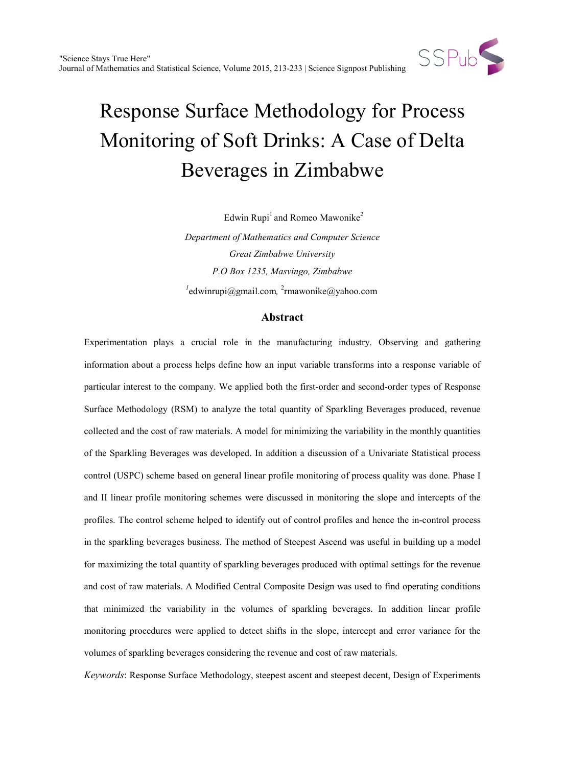

Edwin Rupi<sup>1</sup> and Romeo Mawonike<sup>2</sup>

*Department of Mathematics and Computer Science Great Zimbabwe University P.O Box 1235, Masvingo, Zimbabwe 1* [edwinrupi@gmail.com](mailto:edwinrupi@gmail.com)*,* <sup>2</sup> [rmawonike@yahoo.com](mailto:2rmawonike@yahoo.com)

### **Abstract**

Experimentation plays a crucial role in the manufacturing industry. Observing and gathering information about a process helps define how an input variable transforms into a response variable of particular interest to the company. We applied both the first-order and second-order types of Response Surface Methodology (RSM) to analyze the total quantity of Sparkling Beverages produced, revenue collected and the cost of raw materials. A model for minimizing the variability in the monthly quantities of the Sparkling Beverages was developed. In addition a discussion of a Univariate Statistical process control (USPC) scheme based on general linear profile monitoring of process quality was done. Phase I and II linear profile monitoring schemes were discussed in monitoring the slope and intercepts of the profiles. The control scheme helped to identify out of control profiles and hence the in-control process in the sparkling beverages business. The method of Steepest Ascend was useful in building up a model for maximizing the total quantity of sparkling beverages produced with optimal settings for the revenue and cost of raw materials. A Modified Central Composite Design was used to find operating conditions that minimized the variability in the volumes of sparkling beverages. In addition linear profile monitoring procedures were applied to detect shifts in the slope, intercept and error variance for the volumes of sparkling beverages considering the revenue and cost of raw materials.

*Keywords*: Response Surface Methodology, steepest ascent and steepest decent, Design of Experiments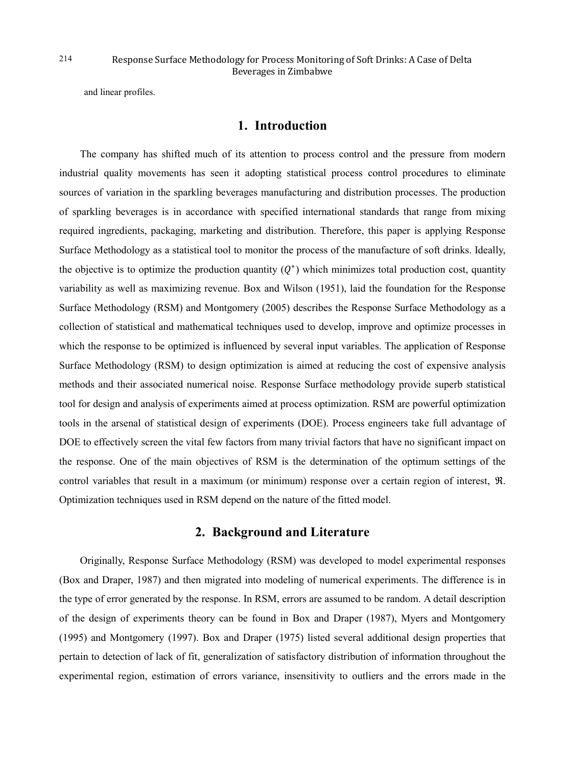and linear profiles.

## **1. Introduction**

The company has shifted much of its attention to process control and the pressure from modern industrial quality movements has seen it adopting statistical process control procedures to eliminate sources of variation in the sparkling beverages manufacturing and distribution processes. The production of sparkling beverages is in accordance with specified international standards that range from mixing required ingredients, packaging, marketing and distribution. Therefore, this paper is applying Response Surface Methodology as a statistical tool to monitor the process of the manufacture of soft drinks. Ideally, the objective is to optimize the production quantity  $(Q^*)$  which minimizes total production cost, quantity variability as well as maximizing revenue. Box and Wilson (1951), laid the foundation for the Response Surface Methodology (RSM) and Montgomery (2005) describes the Response Surface Methodology as a collection of statistical and mathematical techniques used to develop, improve and optimize processes in which the response to be optimized is influenced by several input variables. The application of Response Surface Methodology (RSM) to design optimization is aimed at reducing the cost of expensive analysis methods and their associated numerical noise. Response Surface methodology provide superb statistical tool for design and analysis of experiments aimed at process optimization. RSM are powerful optimization tools in the arsenal of statistical design of experiments (DOE). Process engineers take full advantage of DOE to effectively screen the vital few factors from many trivial factors that have no significant impact on the response. One of the main objectives of RSM is the determination of the optimum settings of the control variables that result in a maximum (or minimum) response over a certain region of interest, ℜ. Optimization techniques used in RSM depend on the nature of the fitted model.

### **2. Background and Literature**

Originally, Response Surface Methodology (RSM) was developed to model experimental responses (Box and Draper, 1987) and then migrated into modeling of numerical experiments. The difference is in the type of error generated by the response. In RSM, errors are assumed to be random. A detail description of the design of experiments theory can be found in Box and Draper (1987), Myers and Montgomery (1995) and Montgomery (1997). Box and Draper (1975) listed several additional design properties that pertain to detection of lack of fit, generalization of satisfactory distribution of information throughout the experimental region, estimation of errors variance, insensitivity to outliers and the errors made in the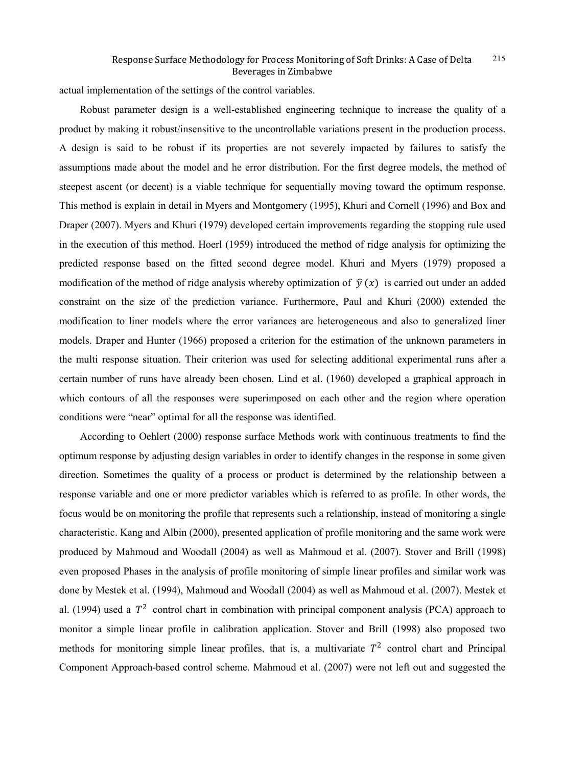actual implementation of the settings of the control variables.

Robust parameter design is a well-established engineering technique to increase the quality of a product by making it robust/insensitive to the uncontrollable variations present in the production process. A design is said to be robust if its properties are not severely impacted by failures to satisfy the assumptions made about the model and he error distribution. For the first degree models, the method of steepest ascent (or decent) is a viable technique for sequentially moving toward the optimum response. This method is explain in detail in Myers and Montgomery (1995), Khuri and Cornell (1996) and Box and Draper (2007). Myers and Khuri (1979) developed certain improvements regarding the stopping rule used in the execution of this method. Hoerl (1959) introduced the method of ridge analysis for optimizing the predicted response based on the fitted second degree model. Khuri and Myers (1979) proposed a modification of the method of ridge analysis whereby optimization of  $\hat{v}(x)$  is carried out under an added constraint on the size of the prediction variance. Furthermore, Paul and Khuri (2000) extended the modification to liner models where the error variances are heterogeneous and also to generalized liner models. Draper and Hunter (1966) proposed a criterion for the estimation of the unknown parameters in the multi response situation. Their criterion was used for selecting additional experimental runs after a certain number of runs have already been chosen. Lind et al. (1960) developed a graphical approach in which contours of all the responses were superimposed on each other and the region where operation conditions were "near" optimal for all the response was identified.

According to Oehlert (2000) response surface Methods work with continuous treatments to find the optimum response by adjusting design variables in order to identify changes in the response in some given direction. Sometimes the quality of a process or product is determined by the relationship between a response variable and one or more predictor variables which is referred to as profile. In other words, the focus would be on monitoring the profile that represents such a relationship, instead of monitoring a single characteristic. Kang and Albin (2000), presented application of profile monitoring and the same work were produced by Mahmoud and Woodall (2004) as well as Mahmoud et al. (2007). Stover and Brill (1998) even proposed Phases in the analysis of profile monitoring of simple linear profiles and similar work was done by Mestek et al. (1994), Mahmoud and Woodall (2004) as well as Mahmoud et al. (2007). Mestek et al. (1994) used a  $T^2$  control chart in combination with principal component analysis (PCA) approach to monitor a simple linear profile in calibration application. Stover and Brill (1998) also proposed two methods for monitoring simple linear profiles, that is, a multivariate  $T^2$  control chart and Principal Component Approach-based control scheme. Mahmoud et al. (2007) were not left out and suggested the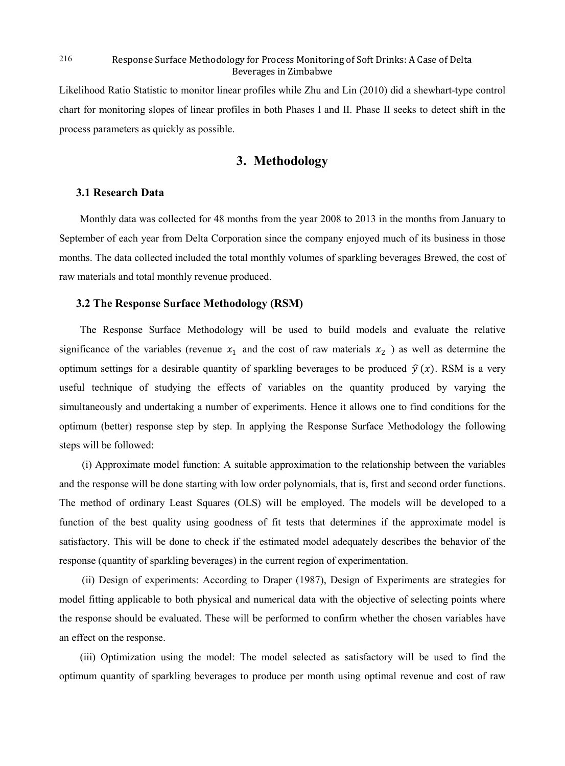Likelihood Ratio Statistic to monitor linear profiles while Zhu and Lin (2010) did a shewhart-type control chart for monitoring slopes of linear profiles in both Phases I and II. Phase II seeks to detect shift in the process parameters as quickly as possible.

## **3. Methodology**

### **3.1 Research Data**

Monthly data was collected for 48 months from the year 2008 to 2013 in the months from January to September of each year from Delta Corporation since the company enjoyed much of its business in those months. The data collected included the total monthly volumes of sparkling beverages Brewed, the cost of raw materials and total monthly revenue produced.

### **3.2 The Response Surface Methodology (RSM)**

The Response Surface Methodology will be used to build models and evaluate the relative significance of the variables (revenue  $x_1$  and the cost of raw materials  $x_2$ ) as well as determine the optimum settings for a desirable quantity of sparkling beverages to be produced  $\hat{v}(x)$ . RSM is a very useful technique of studying the effects of variables on the quantity produced by varying the simultaneously and undertaking a number of experiments. Hence it allows one to find conditions for the optimum (better) response step by step. In applying the Response Surface Methodology the following steps will be followed:

(i) Approximate model function: A suitable approximation to the relationship between the variables and the response will be done starting with low order polynomials, that is, first and second order functions. The method of ordinary Least Squares (OLS) will be employed. The models will be developed to a function of the best quality using goodness of fit tests that determines if the approximate model is satisfactory. This will be done to check if the estimated model adequately describes the behavior of the response (quantity of sparkling beverages) in the current region of experimentation.

(ii) Design of experiments: According to Draper (1987), Design of Experiments are strategies for model fitting applicable to both physical and numerical data with the objective of selecting points where the response should be evaluated. These will be performed to confirm whether the chosen variables have an effect on the response.

(iii) Optimization using the model: The model selected as satisfactory will be used to find the optimum quantity of sparkling beverages to produce per month using optimal revenue and cost of raw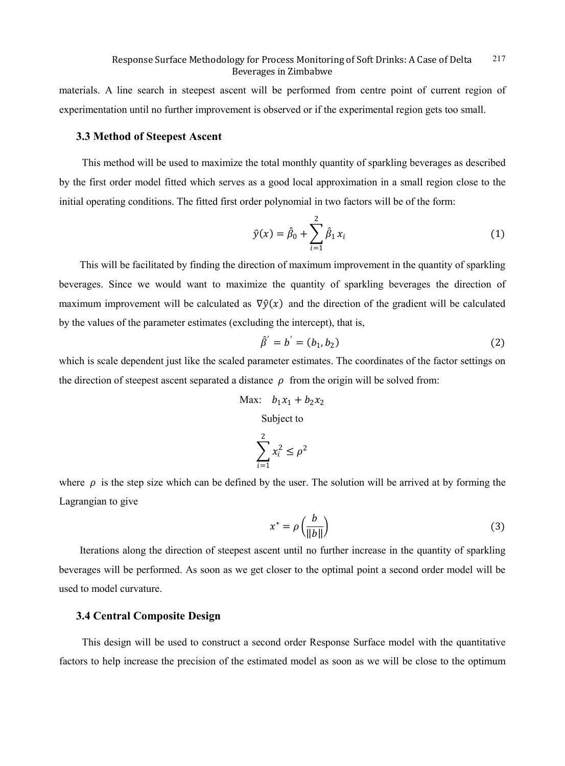materials. A line search in steepest ascent will be performed from centre point of current region of experimentation until no further improvement is observed or if the experimental region gets too small.

### **3.3 Method of Steepest Ascent**

This method will be used to maximize the total monthly quantity of sparkling beverages as described by the first order model fitted which serves as a good local approximation in a small region close to the initial operating conditions. The fitted first order polynomial in two factors will be of the form:

$$
\hat{y}(x) = \hat{\beta}_0 + \sum_{i=1}^{2} \hat{\beta}_1 x_i
$$
\n(1)

This will be facilitated by finding the direction of maximum improvement in the quantity of sparkling beverages. Since we would want to maximize the quantity of sparkling beverages the direction of maximum improvement will be calculated as  $\nabla \hat{v}(x)$  and the direction of the gradient will be calculated by the values of the parameter estimates (excluding the intercept), that is,

$$
\hat{\beta}' = b' = (b_1, b_2) \tag{2}
$$

which is scale dependent just like the scaled parameter estimates. The coordinates of the factor settings on the direction of steepest ascent separated a distance  $\rho$  from the origin will be solved from:

$$
\text{Max:} \quad b_1x_1 + b_2x_2
$$

Subject to

$$
\sum_{i=1}^2 x_i^2 \le \rho^2
$$

where  $\rho$  is the step size which can be defined by the user. The solution will be arrived at by forming the Lagrangian to give

$$
x^* = \rho \left(\frac{b}{\|b\|}\right) \tag{3}
$$

Iterations along the direction of steepest ascent until no further increase in the quantity of sparkling beverages will be performed. As soon as we get closer to the optimal point a second order model will be used to model curvature.

### **3.4 Central Composite Design**

This design will be used to construct a second order Response Surface model with the quantitative factors to help increase the precision of the estimated model as soon as we will be close to the optimum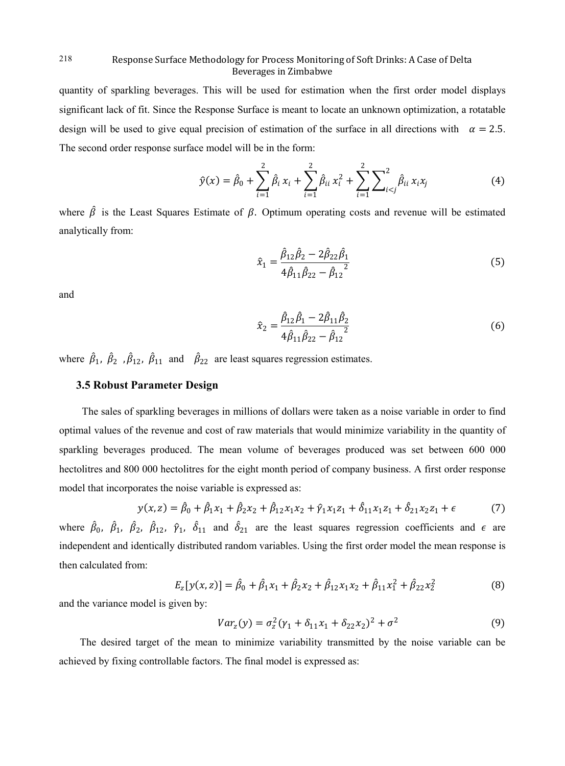quantity of sparkling beverages. This will be used for estimation when the first order model displays significant lack of fit. Since the Response Surface is meant to locate an unknown optimization, a rotatable design will be used to give equal precision of estimation of the surface in all directions with  $\alpha = 2.5$ . The second order response surface model will be in the form:

$$
\hat{y}(x) = \hat{\beta}_0 + \sum_{i=1}^2 \hat{\beta}_i x_i + \sum_{i=1}^2 \hat{\beta}_{ii} x_i^2 + \sum_{i=1}^2 \sum_{i < j}^2 \hat{\beta}_{ii} x_i x_j \tag{4}
$$

where  $\hat{\beta}$  is the Least Squares Estimate of  $\beta$ . Optimum operating costs and revenue will be estimated analytically from:

$$
\hat{x}_1 = \frac{\hat{\beta}_{12}\hat{\beta}_2 - 2\hat{\beta}_{22}\hat{\beta}_1}{4\hat{\beta}_{11}\hat{\beta}_{22} - \hat{\beta}_{12}^2}
$$
\n(5)

and

$$
\hat{x}_2 = \frac{\hat{\beta}_{12}\hat{\beta}_1 - 2\hat{\beta}_{11}\hat{\beta}_2}{4\hat{\beta}_{11}\hat{\beta}_{22} - \hat{\beta}_{12}^2}
$$
\n(6)

where  $\hat{\beta}_1$ ,  $\hat{\beta}_2$ ,  $\hat{\beta}_{12}$ ,  $\hat{\beta}_{11}$  and  $\hat{\beta}_{22}$  are least squares regression estimates.

### **3.5 Robust Parameter Design**

The sales of sparkling beverages in millions of dollars were taken as a noise variable in order to find optimal values of the revenue and cost of raw materials that would minimize variability in the quantity of sparkling beverages produced. The mean volume of beverages produced was set between 600 000 hectolitres and 800 000 hectolitres for the eight month period of company business. A first order response model that incorporates the noise variable is expressed as:

$$
y(x, z) = \hat{\beta}_0 + \hat{\beta}_1 x_1 + \hat{\beta}_2 x_2 + \hat{\beta}_{12} x_1 x_2 + \hat{\gamma}_1 x_1 z_1 + \hat{\delta}_{11} x_1 z_1 + \hat{\delta}_{21} x_2 z_1 + \epsilon \tag{7}
$$

where  $\beta_0$ ,  $\beta_1$ ,  $\beta_2$ ,  $\beta_{12}$ ,  $\beta_1$ ,  $\delta_{11}$  and  $\delta_{21}$  are the least squares regression coefficients and  $\epsilon$  are independent and identically distributed random variables. Using the first order model the mean response is then calculated from:

$$
E_z[y(x,z)] = \hat{\beta}_0 + \hat{\beta}_1 x_1 + \hat{\beta}_2 x_2 + \hat{\beta}_{12} x_1 x_2 + \hat{\beta}_{11} x_1^2 + \hat{\beta}_{22} x_2^2
$$
(8)

and the variance model is given by:

$$
Var_z(y) = \sigma_z^2 (\gamma_1 + \delta_{11} x_1 + \delta_{22} x_2)^2 + \sigma^2
$$
 (9)

The desired target of the mean to minimize variability transmitted by the noise variable can be achieved by fixing controllable factors. The final model is expressed as: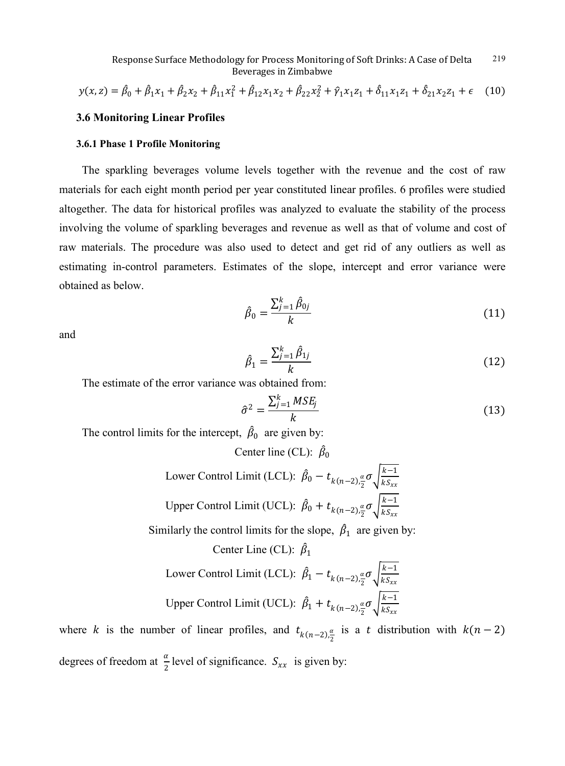$$
y(x, z) = \hat{\beta}_0 + \hat{\beta}_1 x_1 + \hat{\beta}_2 x_2 + \hat{\beta}_{11} x_1^2 + \hat{\beta}_{12} x_1 x_2 + \hat{\beta}_{22} x_2^2 + \hat{\gamma}_1 x_1 z_1 + \hat{\delta}_{11} x_1 z_1 + \hat{\delta}_{21} x_2 z_1 + \epsilon \quad (10)
$$

### **3.6 Monitoring Linear Profiles**

### **3.6.1 Phase 1 Profile Monitoring**

The sparkling beverages volume levels together with the revenue and the cost of raw materials for each eight month period per year constituted linear profiles. 6 profiles were studied altogether. The data for historical profiles was analyzed to evaluate the stability of the process involving the volume of sparkling beverages and revenue as well as that of volume and cost of raw materials. The procedure was also used to detect and get rid of any outliers as well as estimating in-control parameters. Estimates of the slope, intercept and error variance were obtained as below.

$$
\hat{\beta}_0 = \frac{\sum_{j=1}^k \hat{\beta}_{0j}}{k} \tag{11}
$$

and

$$
\hat{\beta}_1 = \frac{\sum_{j=1}^k \hat{\beta}_{1j}}{k} \tag{12}
$$

The estimate of the error variance was obtained from:

$$
\hat{\sigma}^2 = \frac{\sum_{j=1}^k MSE_j}{k} \tag{13}
$$

The control limits for the intercept,  $\beta_0$  are given by:

Center line (CL):  $\beta_0$ 

Lower Control Limit (LCL): 
$$
\hat{\beta}_0 - t_{k(n-2),\frac{\alpha}{2}} \sigma \sqrt{\frac{k-1}{kS_{xx}}}
$$
  
Upper Control Limit (UCL):  $\hat{\beta}_0 + t_{k(n-2),\frac{\alpha}{2}} \sigma \sqrt{\frac{k-1}{kS_{xx}}}$ 

Similarly the control limits for the slope,  $\hat{\beta}_1$  are given by:

Center Line (CL):  $\hat{\beta}_1$ Lower Control Limit (LCL):  $\hat{\beta}_1 - t_{k(n-2)\frac{\alpha}{2}}$  $\frac{\alpha}{2} \sigma \sqrt{\frac{k-1}{kS_{xx}}}$ Upper Control Limit (UCL):  $\hat{\beta}_1 + t_{k(n-2)\frac{\alpha}{2}}$  $\frac{\alpha}{2} \sigma \sqrt{\frac{k-1}{kS_{xx}}}$ 

where k is the number of linear profiles, and  $t_{k(n-2),\frac{\alpha}{2}}$  $\frac{\alpha}{2}$  is a t distribution with  $k(n-2)$ degrees of freedom at  $\frac{\alpha}{2}$  level of significance.  $S_{xx}$  is given by: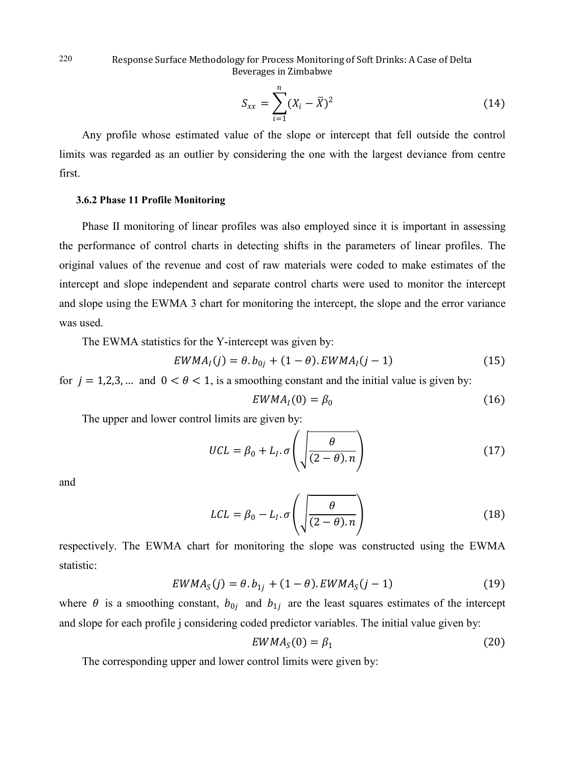$$
S_{xx} = \sum_{i=1}^{n} (X_i - \bar{X})^2
$$
 (14)

Any profile whose estimated value of the slope or intercept that fell outside the control limits was regarded as an outlier by considering the one with the largest deviance from centre first.

### **3.6.2 Phase 11 Profile Monitoring**

Phase II monitoring of linear profiles was also employed since it is important in assessing the performance of control charts in detecting shifts in the parameters of linear profiles. The original values of the revenue and cost of raw materials were coded to make estimates of the intercept and slope independent and separate control charts were used to monitor the intercept and slope using the EWMA 3 chart for monitoring the intercept, the slope and the error variance was used.

The EWMA statistics for the Y-intercept was given by:

$$
EWMA_{I}(j) = \theta.b_{0j} + (1 - \theta).EWMA_{I}(j - 1)
$$
\n(15)

for  $j = 1,2,3,...$  and  $0 < \theta < 1$ , is a smoothing constant and the initial value is given by:

$$
EWMA_I(0) = \beta_0 \tag{16}
$$

The upper and lower control limits are given by:

$$
UCL = \beta_0 + L_I.\sigma\left(\sqrt{\frac{\theta}{(2-\theta).n}}\right) \tag{17}
$$

and

$$
LCL = \beta_0 - L_I.\sigma\left(\sqrt{\frac{\theta}{(2-\theta).n}}\right) \tag{18}
$$

respectively. The EWMA chart for monitoring the slope was constructed using the EWMA statistic:

$$
EWMA_S(j) = \theta.b_{1j} + (1 - \theta).EWMA_S(j - 1)
$$
 (19)

where  $\theta$  is a smoothing constant,  $b_{0i}$  and  $b_{1i}$  are the least squares estimates of the intercept and slope for each profile j considering coded predictor variables. The initial value given by:

$$
EWMA_S(0) = \beta_1 \tag{20}
$$

The corresponding upper and lower control limits were given by:

220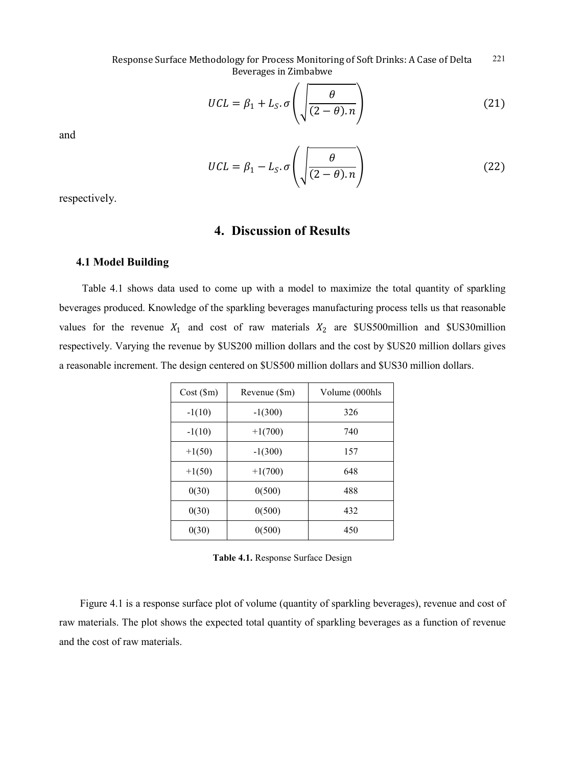$$
UCL = \beta_1 + L_S. \sigma \left( \sqrt{\frac{\theta}{(2 - \theta).n}} \right) \tag{21}
$$

and

$$
UCL = \beta_1 - L_S \cdot \sigma \left( \sqrt{\frac{\theta}{(2-\theta)\cdot n}} \right) \tag{22}
$$

respectively.

# **4. Discussion of Results**

### **4.1 Model Building**

Table 4.1 shows data used to come up with a model to maximize the total quantity of sparkling beverages produced. Knowledge of the sparkling beverages manufacturing process tells us that reasonable values for the revenue  $X_1$  and cost of raw materials  $X_2$  are \$US500million and \$US30million respectively. Varying the revenue by \$US200 million dollars and the cost by \$US20 million dollars gives a reasonable increment. The design centered on \$US500 million dollars and \$US30 million dollars.

| $Cost$ (\$m) | Revenue (\$m) | Volume (000hls) |
|--------------|---------------|-----------------|
| $-1(10)$     | $-1(300)$     | 326             |
| $-1(10)$     | $+1(700)$     | 740             |
| $+1(50)$     | $-1(300)$     | 157             |
| $+1(50)$     | $+1(700)$     | 648             |
| 0(30)        | 0(500)        | 488             |
| 0(30)        | 0(500)        | 432             |
| 0(30)        | 0(500)        | 450             |

**Table 4.1.** Response Surface Design

Figure 4.1 is a response surface plot of volume (quantity of sparkling beverages), revenue and cost of raw materials. The plot shows the expected total quantity of sparkling beverages as a function of revenue and the cost of raw materials.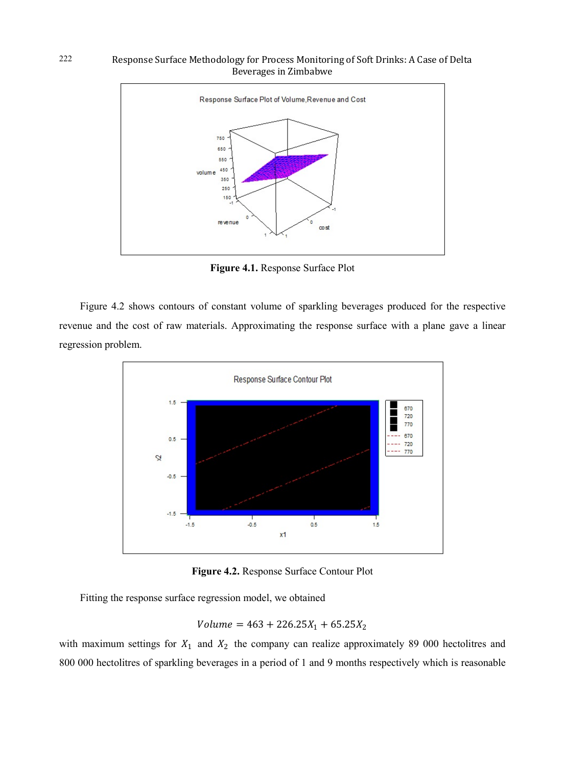

**Figure 4.1.** Response Surface Plot

Figure 4.2 shows contours of constant volume of sparkling beverages produced for the respective revenue and the cost of raw materials. Approximating the response surface with a plane gave a linear regression problem.



**Figure 4.2.** Response Surface Contour Plot

Fitting the response surface regression model, we obtained

$$
Volume = 463 + 226.25X_1 + 65.25X_2
$$

with maximum settings for  $X_1$  and  $X_2$  the company can realize approximately 89 000 hectolitres and 800 000 hectolitres of sparkling beverages in a period of 1 and 9 months respectively which is reasonable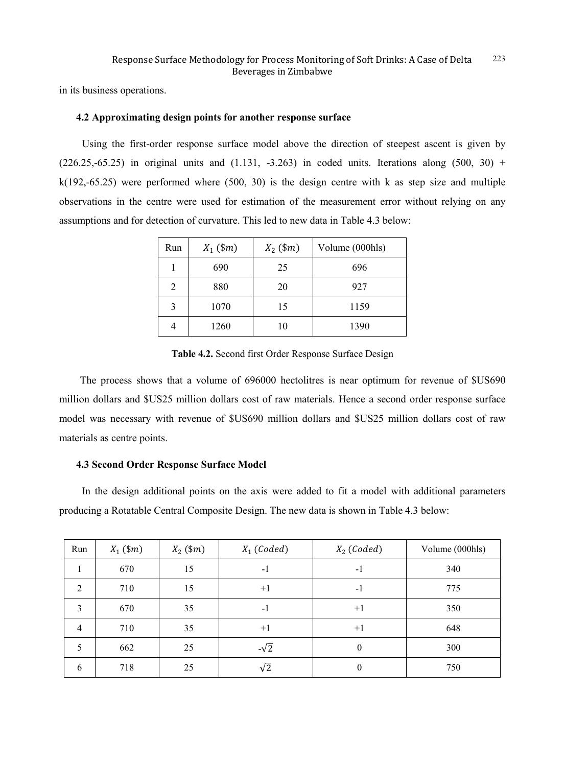in its business operations.

### **4.2 Approximating design points for another response surface**

Using the first-order response surface model above the direction of steepest ascent is given by  $(226.25, -65.25)$  in original units and  $(1.131, -3.263)$  in coded units. Iterations along  $(500, 30)$  +  $k(192,-65.25)$  were performed where  $(500, 30)$  is the design centre with k as step size and multiple observations in the centre were used for estimation of the measurement error without relying on any assumptions and for detection of curvature. This led to new data in Table 4.3 below:

| Run | $X_1$ (\$ <i>m</i> ) | $X_2$ (\$ <i>m</i> ) | Volume (000hls) |
|-----|----------------------|----------------------|-----------------|
|     | 690                  | 25                   | 696             |
| っ   | 880                  | 20                   | 927             |
| 3   | 1070                 | 15                   | 1159            |
|     | 1260                 | 10                   | 1390            |

**Table 4.2.** Second first Order Response Surface Design

The process shows that a volume of 696000 hectolitres is near optimum for revenue of \$US690 million dollars and \$US25 million dollars cost of raw materials. Hence a second order response surface model was necessary with revenue of \$US690 million dollars and \$US25 million dollars cost of raw materials as centre points.

### **4.3 Second Order Response Surface Model**

In the design additional points on the axis were added to fit a model with additional parameters producing a Rotatable Central Composite Design. The new data is shown in Table 4.3 below:

| Run            | $X_1$ (\$ <i>m</i> ) | $X_2$ (\$m) | $X_1$ (Coded) | $X_2$ (Coded) | Volume (000hls) |
|----------------|----------------------|-------------|---------------|---------------|-----------------|
| 1              | 670                  | 15          | $-1$          | $-1$          | 340             |
| 2              | 710                  | 15          | $+1$          | $-1$          | 775             |
| 3              | 670                  | 35          | $-1$          | $+1$          | 350             |
| $\overline{4}$ | 710                  | 35          | $+1$          | $+1$          | 648             |
| 5              | 662                  | 25          | $-\sqrt{2}$   | $\mathbf{0}$  | 300             |
| 6              | 718                  | 25          | $\sqrt{2}$    | $\theta$      | 750             |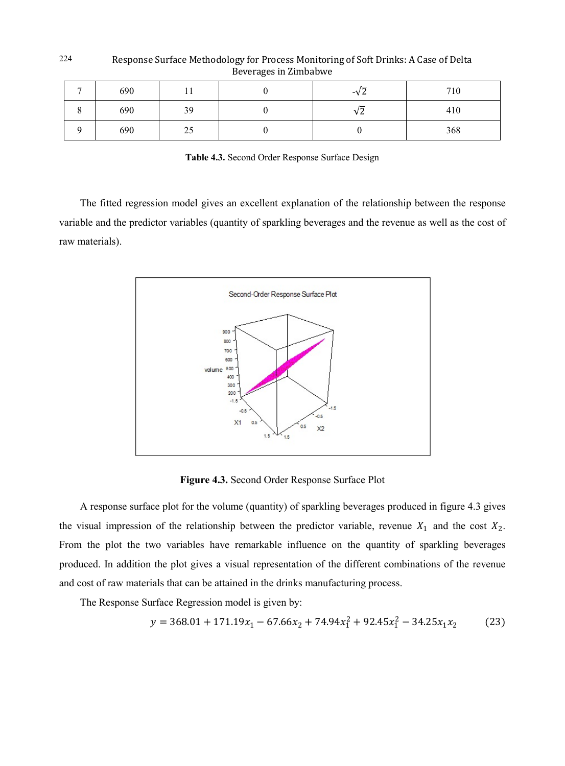| 690 | 1 T | -V 4 | 710 |
|-----|-----|------|-----|
| 690 | 39  | νZ   | 410 |
| 690 | 25  |      | 368 |

Response Surface Methodology for Process Monitoring of Soft Drinks: A Case of Delta Beverages in Zimbabwe

**Table 4.3.** Second Order Response Surface Design

The fitted regression model gives an excellent explanation of the relationship between the response variable and the predictor variables (quantity of sparkling beverages and the revenue as well as the cost of raw materials).



**Figure 4.3.** Second Order Response Surface Plot

A response surface plot for the volume (quantity) of sparkling beverages produced in figure 4.3 gives the visual impression of the relationship between the predictor variable, revenue  $X_1$  and the cost  $X_2$ . From the plot the two variables have remarkable influence on the quantity of sparkling beverages produced. In addition the plot gives a visual representation of the different combinations of the revenue and cost of raw materials that can be attained in the drinks manufacturing process.

The Response Surface Regression model is given by:

$$
y = 368.01 + 171.19x_1 - 67.66x_2 + 74.94x_1^2 + 92.45x_1^2 - 34.25x_1x_2 \tag{23}
$$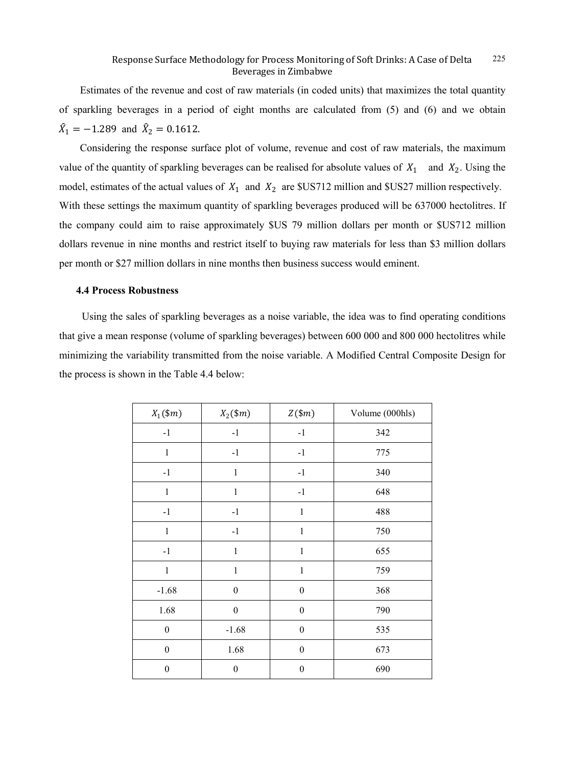Estimates of the revenue and cost of raw materials (in coded units) that maximizes the total quantity of sparkling beverages in a period of eight months are calculated from (5) and (6) and we obtain  $\hat{X}_1 = -1.289$  and  $\hat{X}_2 = 0.1612$ .

Considering the response surface plot of volume, revenue and cost of raw materials, the maximum value of the quantity of sparkling beverages can be realised for absolute values of  $X_1$  and  $X_2$ . Using the model, estimates of the actual values of  $X_1$  and  $X_2$  are \$US712 million and \$US27 million respectively. With these settings the maximum quantity of sparkling beverages produced will be 637000 hectolitres. If the company could aim to raise approximately \$US 79 million dollars per month or \$US712 million dollars revenue in nine months and restrict itself to buying raw materials for less than \$3 million dollars per month or \$27 million dollars in nine months then business success would eminent.

### **4.4 Process Robustness**

Using the sales of sparkling beverages as a noise variable, the idea was to find operating conditions that give a mean response (volume of sparkling beverages) between 600 000 and 800 000 hectolitres while minimizing the variability transmitted from the noise variable. A Modified Central Composite Design for the process is shown in the Table 4.4 below:

| $X_1({\$}m)$     | $X_2({\$m})$     | $Z(\$m)$         | Volume (000hls) |
|------------------|------------------|------------------|-----------------|
| $-1$             | $-1$             | $-1$             | 342             |
| $\mathbf{1}$     | $-1$             | $-1$             | 775             |
| $-1$             | $\mathbf{1}$     | $-1$             | 340             |
| $\mathbf{1}$     | $\mathbf{1}$     | $-1$             | 648             |
| $-1$             | $-1$             | $\mathbf{1}$     | 488             |
| $\mathbf{1}$     | $-1$             | $\mathbf{1}$     | 750             |
| $-1$             | $\mathbf{1}$     | $\mathbf 1$      | 655             |
| $\mathbf{1}$     | $\mathbf{1}$     | $\mathbf{1}$     | 759             |
| $-1.68$          | $\boldsymbol{0}$ | $\boldsymbol{0}$ | 368             |
| 1.68             | $\boldsymbol{0}$ | $\boldsymbol{0}$ | 790             |
| $\boldsymbol{0}$ | $-1.68$          | $\boldsymbol{0}$ | 535             |
| $\boldsymbol{0}$ | 1.68             | $\boldsymbol{0}$ | 673             |
| $\boldsymbol{0}$ | $\boldsymbol{0}$ | $\boldsymbol{0}$ | 690             |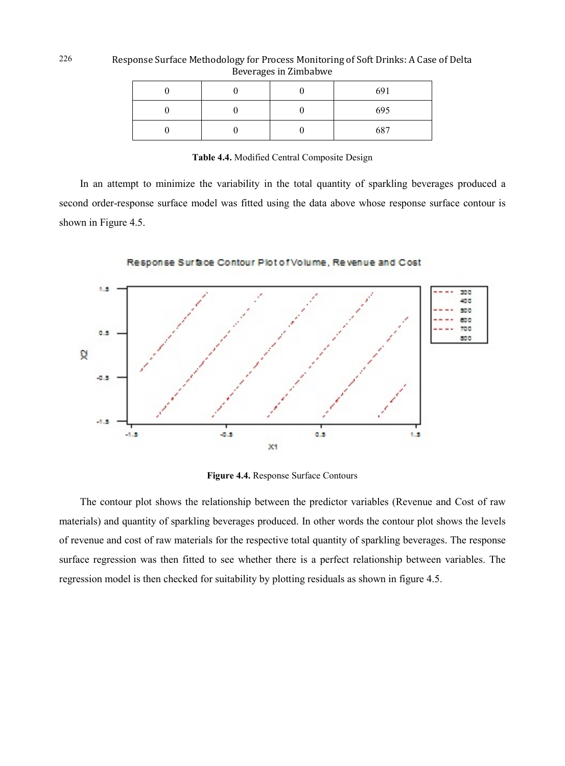|  |  | 691 |
|--|--|-----|
|  |  | 695 |
|  |  | 687 |

Response Surface Methodology for Process Monitoring of Soft Drinks: A Case of Delta Beverages in Zimbabwe

**Table 4.4.** Modified Central Composite Design

In an attempt to minimize the variability in the total quantity of sparkling beverages produced a second order-response surface model was fitted using the data above whose response surface contour is shown in Figure 4.5.



Response Surface Contour Plot of Volume, Revenue and Cost

**Figure 4.4.** Response Surface Contours

The contour plot shows the relationship between the predictor variables (Revenue and Cost of raw materials) and quantity of sparkling beverages produced. In other words the contour plot shows the levels of revenue and cost of raw materials for the respective total quantity of sparkling beverages. The response surface regression was then fitted to see whether there is a perfect relationship between variables. The regression model is then checked for suitability by plotting residuals as shown in figure 4.5.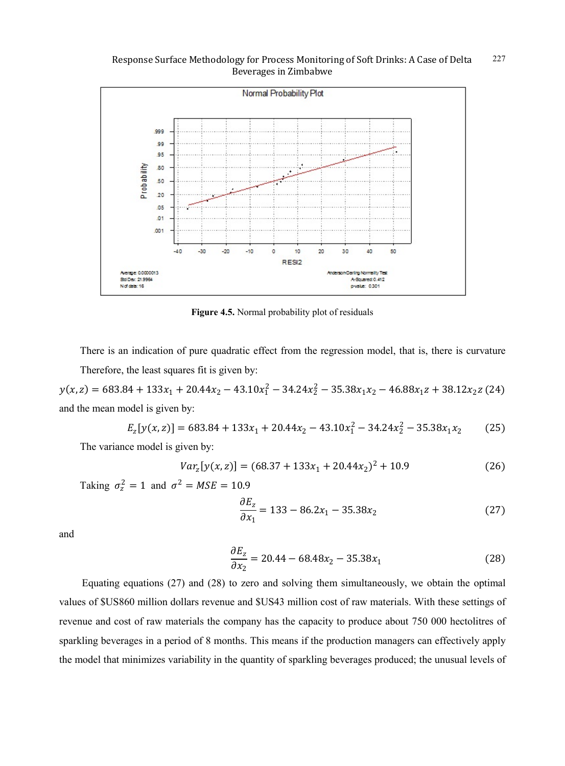

**Figure 4.5.** Normal probability plot of residuals

There is an indication of pure quadratic effect from the regression model, that is, there is curvature Therefore, the least squares fit is given by:

 $y(x, z) = 683.84 + 133x_1 + 20.44x_2 - 43.10x_1^2 - 34.24x_2^2 - 35.38x_1x_2 - 46.88x_1z + 38.12x_2z$  (24) and the mean model is given by:

$$
E_z[y(x,z)] = 683.84 + 133x_1 + 20.44x_2 - 43.10x_1^2 - 34.24x_2^2 - 35.38x_1x_2 \tag{25}
$$

The variance model is given by:

$$
Var_z[y(x,z)] = (68.37 + 133x_1 + 20.44x_2)^2 + 10.9
$$
 (26)

Taking  $\sigma_z^2 = 1$  and  $\sigma^2 = MSE = 10.9$ 

$$
\frac{\partial E_z}{\partial x_1} = 133 - 86.2x_1 - 35.38x_2 \tag{27}
$$

and

$$
\frac{\partial E_z}{\partial x_2} = 20.44 - 68.48x_2 - 35.38x_1\tag{28}
$$

Equating equations (27) and (28) to zero and solving them simultaneously, we obtain the optimal values of \$US860 million dollars revenue and \$US43 million cost of raw materials. With these settings of revenue and cost of raw materials the company has the capacity to produce about 750 000 hectolitres of sparkling beverages in a period of 8 months. This means if the production managers can effectively apply the model that minimizes variability in the quantity of sparkling beverages produced; the unusual levels of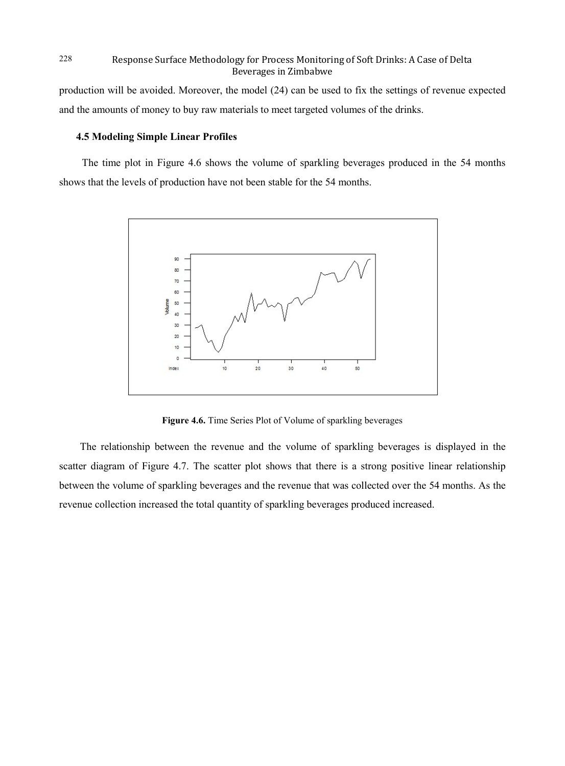production will be avoided. Moreover, the model (24) can be used to fix the settings of revenue expected and the amounts of money to buy raw materials to meet targeted volumes of the drinks.

### **4.5 Modeling Simple Linear Profiles**

The time plot in Figure 4.6 shows the volume of sparkling beverages produced in the 54 months shows that the levels of production have not been stable for the 54 months.



**Figure 4.6.** Time Series Plot of Volume of sparkling beverages

The relationship between the revenue and the volume of sparkling beverages is displayed in the scatter diagram of Figure 4.7. The scatter plot shows that there is a strong positive linear relationship between the volume of sparkling beverages and the revenue that was collected over the 54 months. As the revenue collection increased the total quantity of sparkling beverages produced increased.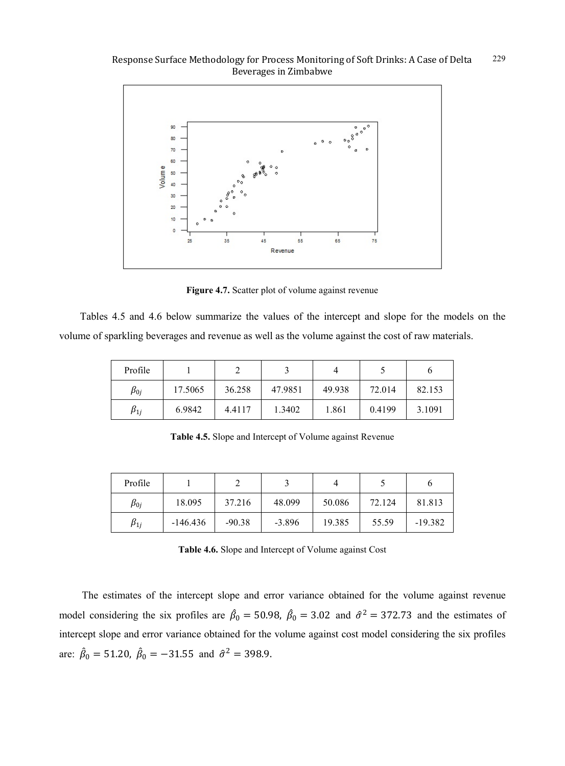

Figure 4.7. Scatter plot of volume against revenue

Tables 4.5 and 4.6 below summarize the values of the intercept and slope for the models on the volume of sparkling beverages and revenue as well as the volume against the cost of raw materials.

| Profile      |         |        |         |        |        |        |
|--------------|---------|--------|---------|--------|--------|--------|
| $\beta_{0j}$ | 17.5065 | 36.258 | 47.9851 | 49.938 | 72.014 | 82.153 |
| $\beta_{1j}$ | 6.9842  | 4.4117 | 1.3402  | 1.861  | 0.4199 | 3.1091 |

**Table 4.5.** Slope and Intercept of Volume against Revenue

| Profile      |            |          |          |        |        |           |
|--------------|------------|----------|----------|--------|--------|-----------|
| $\beta_{0j}$ | 18.095     | 37.216   | 48.099   | 50.086 | 72.124 | 81.813    |
| $\beta_{1j}$ | $-146.436$ | $-90.38$ | $-3.896$ | 19.385 | 55.59  | $-19.382$ |

**Table 4.6.** Slope and Intercept of Volume against Cost

The estimates of the intercept slope and error variance obtained for the volume against revenue model considering the six profiles are  $\beta_0 = 50.98$ ,  $\beta_0 = 3.02$  and  $\hat{\sigma}^2 = 372.73$  and the estimates of intercept slope and error variance obtained for the volume against cost model considering the six profiles are:  $\beta_0 = 51.20$ ,  $\beta_0 = -31.55$  and  $\hat{\sigma}^2 = 398.9$ .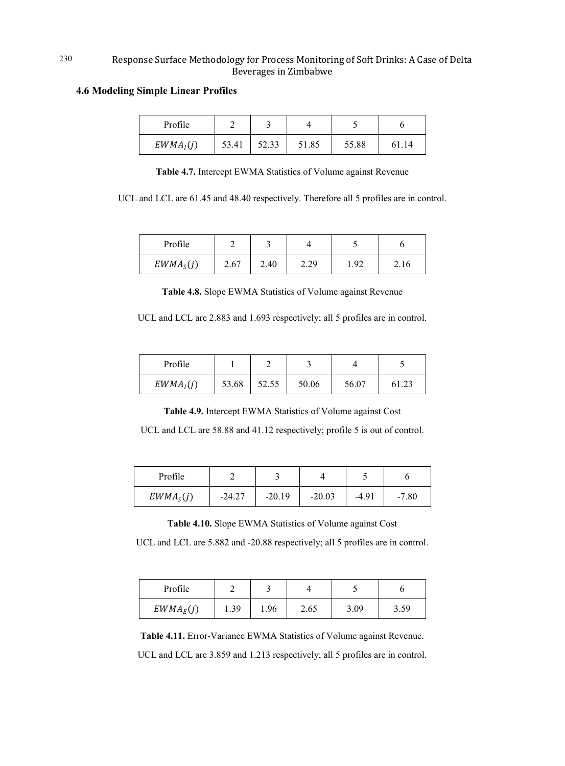### **4.6 Modeling Simple Linear Profiles**

| Profile     |       |       |       |       |      |
|-------------|-------|-------|-------|-------|------|
| $EWMA_I(j)$ | 53.41 | 52.33 | 51.85 | 55.88 | 1.14 |

**Table 4.7.** Intercept EWMA Statistics of Volume against Revenue

UCL and LCL are 61.45 and 48.40 respectively. Therefore all 5 profiles are in control.

| Profile               |      |      |      |      |      |
|-----------------------|------|------|------|------|------|
| EWMA <sub>S</sub> (j) | 2.67 | 2.40 | 2.29 | . 92 | 2.16 |

**Table 4.8.** Slope EWMA Statistics of Volume against Revenue

UCL and LCL are 2.883 and 1.693 respectively; all 5 profiles are in control.

| Profile               |       |       |       |       |       |
|-----------------------|-------|-------|-------|-------|-------|
| EWMA <sub>I</sub> (j) | 53.68 | 52.55 | 50.06 | 56.07 | 61.23 |

**Table 4.9.** Intercept EWMA Statistics of Volume against Cost

UCL and LCL are 58.88 and 41.12 respectively; profile 5 is out of control.

| Profile               |          |          |          |         |         |
|-----------------------|----------|----------|----------|---------|---------|
| EWMA <sub>S</sub> (j) | $-24.27$ | $-20.19$ | $-20.03$ | $-4.91$ | $-7.80$ |

**Table 4.10.** Slope EWMA Statistics of Volume against Cost

UCL and LCL are 5.882 and -20.88 respectively; all 5 profiles are in control.

| Profile     |      |             |      |      |              |
|-------------|------|-------------|------|------|--------------|
| $EWMA_E(j)$ | 1.39 | <u>1.96</u> | 2.65 | 3.09 | 50<br>ر ر. ر |

**Table 4.11.** Error-Variance EWMA Statistics of Volume against Revenue. UCL and LCL are 3.859 and 1.213 respectively; all 5 profiles are in control.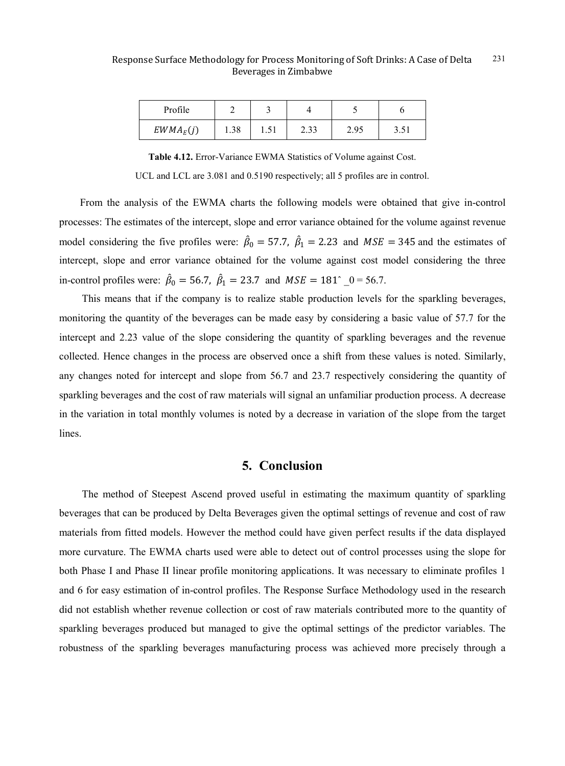| Profile     |      |      |                   |      |       |
|-------------|------|------|-------------------|------|-------|
| $EWMA_E(j)$ | 1.90 | 1.01 | $\gamma$<br>ر د.پ | 2.95 | 1 ن.ر |

**Table 4.12.** Error-Variance EWMA Statistics of Volume against Cost.

UCL and LCL are 3.081 and 0.5190 respectively; all 5 profiles are in control.

From the analysis of the EWMA charts the following models were obtained that give in-control processes: The estimates of the intercept, slope and error variance obtained for the volume against revenue model considering the five profiles were:  $\hat{\beta}_0 = 57.7$ ,  $\hat{\beta}_1 = 2.23$  and  $MSE = 345$  and the estimates of intercept, slope and error variance obtained for the volume against cost model considering the three in-control profiles were:  $\hat{\beta}_0 = 56.7$ ,  $\hat{\beta}_1 = 23.7$  and  $MSE = 181^{\circ}$  \_0 = 56.7.

This means that if the company is to realize stable production levels for the sparkling beverages, monitoring the quantity of the beverages can be made easy by considering a basic value of 57.7 for the intercept and 2.23 value of the slope considering the quantity of sparkling beverages and the revenue collected. Hence changes in the process are observed once a shift from these values is noted. Similarly, any changes noted for intercept and slope from 56.7 and 23.7 respectively considering the quantity of sparkling beverages and the cost of raw materials will signal an unfamiliar production process. A decrease in the variation in total monthly volumes is noted by a decrease in variation of the slope from the target lines.

## **5. Conclusion**

The method of Steepest Ascend proved useful in estimating the maximum quantity of sparkling beverages that can be produced by Delta Beverages given the optimal settings of revenue and cost of raw materials from fitted models. However the method could have given perfect results if the data displayed more curvature. The EWMA charts used were able to detect out of control processes using the slope for both Phase I and Phase II linear profile monitoring applications. It was necessary to eliminate profiles 1 and 6 for easy estimation of in-control profiles. The Response Surface Methodology used in the research did not establish whether revenue collection or cost of raw materials contributed more to the quantity of sparkling beverages produced but managed to give the optimal settings of the predictor variables. The robustness of the sparkling beverages manufacturing process was achieved more precisely through a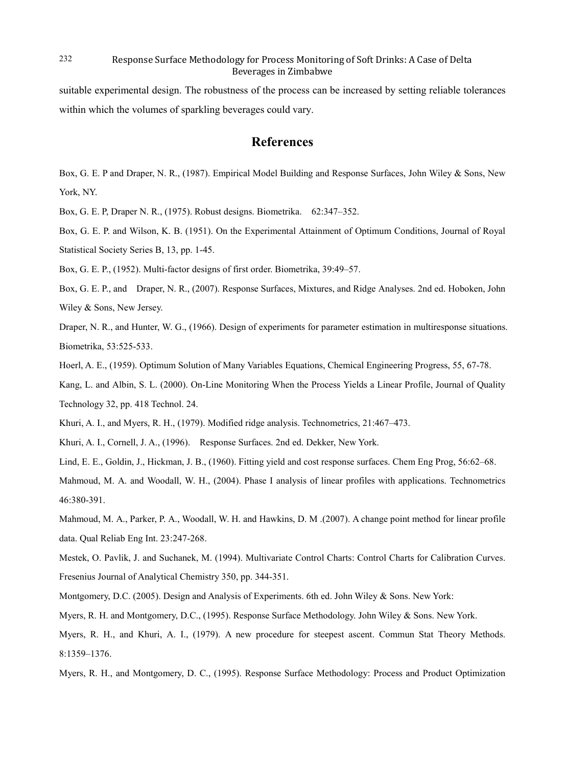suitable experimental design. The robustness of the process can be increased by setting reliable tolerances within which the volumes of sparkling beverages could vary.

### **References**

Box, G. E. P and Draper, N. R., (1987). Empirical Model Building and Response Surfaces, John Wiley & Sons, New York, NY.

Box, G. E. P, Draper N. R., (1975). Robust designs. Biometrika. 62:347–352.

Box, G. E. P. and Wilson, K. B. (1951). On the Experimental Attainment of Optimum Conditions, Journal of Royal Statistical Society Series B, 13, pp. 1-45.

Box, G. E. P., (1952). Multi-factor designs of first order. Biometrika, 39:49–57.

Box, G. E. P., and Draper, N. R., (2007). Response Surfaces, Mixtures, and Ridge Analyses. 2nd ed. Hoboken, John Wiley & Sons, New Jersey.

Draper, N. R., and Hunter, W. G., (1966). Design of experiments for parameter estimation in multiresponse situations. Biometrika, 53:525-533.

Hoerl, A. E., (1959). Optimum Solution of Many Variables Equations, Chemical Engineering Progress, 55, 67-78.

Kang, L. and Albin, S. L. (2000). On-Line Monitoring When the Process Yields a Linear Profile, Journal of Quality Technology 32, pp. 418 Technol. 24.

Khuri, A. I., and Myers, R. H., (1979). Modified ridge analysis. Technometrics, 21:467–473.

Khuri, A. I., Cornell, J. A., (1996). Response Surfaces. 2nd ed. Dekker, New York.

Lind, E. E., Goldin, J., Hickman, J. B., (1960). Fitting yield and cost response surfaces. Chem Eng Prog, 56:62–68.

Mahmoud, M. A. and Woodall, W. H., (2004). Phase I analysis of linear profiles with applications. Technometrics 46:380-391.

Mahmoud, M. A., Parker, P. A., Woodall, W. H. and Hawkins, D. M .(2007). A change point method for linear profile data. Qual Reliab Eng Int. 23:247-268.

Mestek, O. Pavlik, J. and Suchanek, M. (1994). Multivariate Control Charts: Control Charts for Calibration Curves. Fresenius Journal of Analytical Chemistry 350, pp. 344-351.

Montgomery, D.C. (2005). Design and Analysis of Experiments. 6th ed. John Wiley & Sons. New York:

Myers, R. H. and Montgomery, D.C., (1995). Response Surface Methodology. John Wiley & Sons. New York.

Myers, R. H., and Khuri, A. I., (1979). A new procedure for steepest ascent. Commun Stat Theory Methods. 8:1359–1376.

Myers, R. H., and Montgomery, D. C., (1995). Response Surface Methodology: Process and Product Optimization